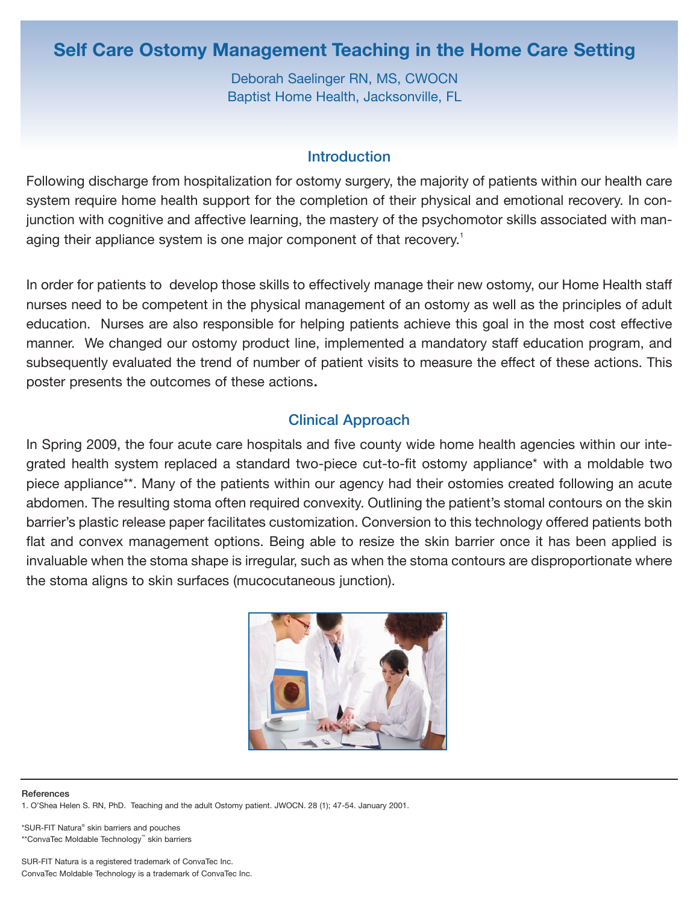# **Self Care Ostomy Management Teaching in the Home Care Setting**

Deborah Saelinger RN, MS, CWOCN Baptist Home Health, Jacksonville, FL

### **Introduction**

Following discharge from hospitalization for ostomy surgery, the majority of patients within our health care system require home health support for the completion of their physical and emotional recovery. In conjunction with cognitive and affective learning, the mastery of the psychomotor skills associated with managing their appliance system is one major component of that recovery.<sup>1</sup>

In order for patients to develop those skills to effectively manage their new ostomy, our Home Health staff nurses need to be competent in the physical management of an ostomy as well as the principles of adult education. Nurses are also responsible for helping patients achieve this goal in the most cost effective manner. We changed our ostomy product line, implemented a mandatory staff education program, and subsequently evaluated the trend of number of patient visits to measure the effect of these actions. This poster presents the outcomes of these actions.

## Clinical Approach

In Spring 2009, the four acute care hospitals and five county wide home health agencies within our integrated health system replaced a standard two-piece cut-to-fit ostomy appliance\* with a moldable two piece appliance\*\*. Many of the patients within our agency had their ostomies created following an acute abdomen. The resulting stoma often required convexity. Outlining the patient's stomal contours on the skin barrier's plastic release paper facilitates customization. Conversion to this technology offered patients both flat and convex management options. Being able to resize the skin barrier once it has been applied is invaluable when the stoma shape is irregular, such as when the stoma contours are disproportionate where the stoma aligns to skin surfaces (mucocutaneous junction).



#### References

1. O'Shea Helen S. RN, PhD. Teaching and the adult Ostomy patient. JWOCN. 28 (1); 47-54. January 2001.

\*SUR-FIT Natura® skin barriers and pouches \*\*ConvaTec Moldable Technology™ skin barriers